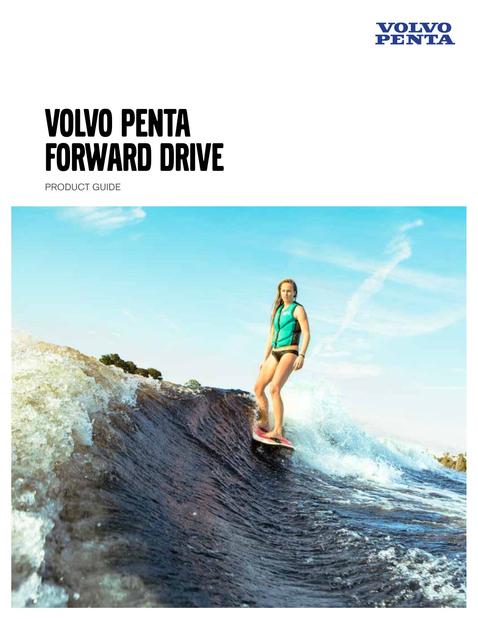

# **VOLVO PENTA FORWARD DRIVE**

**PRODUCT GUIDE** 

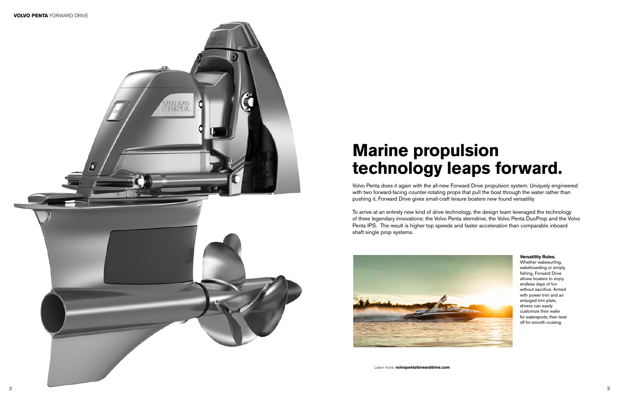

#### **Versatility Rules.**

Whether wakesurfing, wakeboarding or simply fishing, Forward Drive allows boaters to enjoy endless days of fun without sacrifice. Armed with power trim and an enlarged trim plate, drivers can easily customize their wake for watersports, then level off for smooth cruising.

Learn more: **volvopentaforwarddrive.com** 

### **Marine propulsion technology leaps forward.**

Volvo Penta does it again with the all-new Forward Drive propulsion system. Uniquely engineered with two forward-facing counter-rotating props that pull the boat through the water rather than pushing it, Forward Drive gives small-craft leisure boaters new found versatility

To arrive at an entirely new kind of drive technology, the design team leveraged the technology of three legendary innovations: the Volvo Penta sterndrive, the Volvo Penta DuoProp and the Volvo Penta IPS. The result is higher top speeds and faster acceleration than comparable inboard shaft single prop systems.

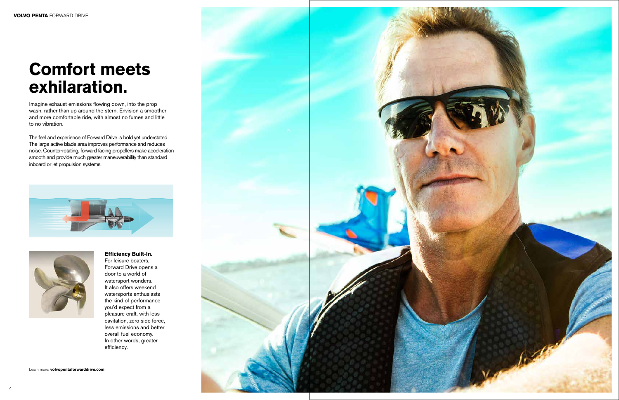

### **Comfort meets exhilaration.**

Imagine exhaust emissions flowing down, into the prop wash, rather than up around the stern. Envision a smoother and more comfortable ride, with almost no fumes and little to no vibration.

The feel and experience of Forward Drive is bold yet understated. The large active blade area improves performance and reduces noise. Counter-rotating, forward facing propellers make acceleration smooth and provide much greater maneuverability than standard inboard or jet propulsion systems.





**Efficiency Built-In.** For leisure boaters, Forward Drive opens a door to a world of watersport wonders. It also offers weekend watersports enthusiasts the kind of performance you'd expect from a pleasure craft, with less cavitation, zero side force, less emissions and better overall fuel economy. In other words, greater efficiency.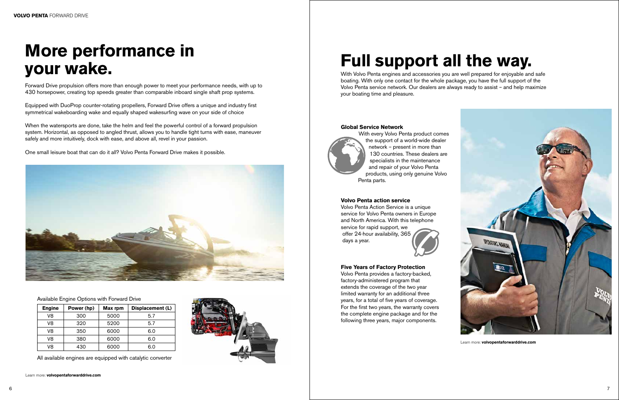### **More performance in your wake.**

Forward Drive propulsion offers more than enough power to meet your performance needs, with up to 430 horsepower, creating top speeds greater than comparable inboard single shaft prop systems.

Equipped with DuoProp counter-rotating propellers, Forward Drive offers a unique and industry first symmetrical wakeboarding wake and equally shaped wakesurfing wave on your side of choice

When the watersports are done, take the helm and feel the powerful control of a forward propulsion system. Horizontal, as opposed to angled thrust, allows you to handle tight turns with ease, maneuver safely and more intuitively, dock with ease, and above all, revel in your passion.

One small leisure boat that can do it all? Volvo Penta Forward Drive makes it possible.



With Volvo Penta engines and accessories you are well prepared for enjoyable and safe boating. With only one contact for the whole package, you have the full support of the Volvo Penta service network. Our dealers are always ready to assist – and help maximize your boating time and pleasure.

## **Full support all the way.**

#### **Global Service Network**



With every Volvo Penta product comes the support of a world-wide dealer network – present in more than 130 countries. These dealers are specialists in the maintenance and repair of your Volvo Penta products, using only genuine Volvo Penta parts.

#### **Volvo Penta action service**

Volvo Penta Action Service is a unique service for Volvo Penta owners in Europe and North America. With this telephone service for rapid support, we

 offer 24-hour availability, 365 days a year.



#### **Five Years of Factory Protection**

Volvo Penta provides a factory-backed, factory-administered program that extends the coverage of the two year limited warranty for an additional three years, for a total of five years of coverage. For the first two years, the warranty covers the complete engine package and for the following three years, major components.







Learn more: **volvopentaforwarddrive.com** 

| <b>Engine</b> | Power (hp) | <b>Max rpm</b> | Displacement (L) |
|---------------|------------|----------------|------------------|
| V8            | 300        | 5000           | 5.7              |
| V8            | 320        | 5200           | 5.7              |
| V8            | 350        | 6000           | 6.0              |
| V8            | 380        | 6000           | 6.0              |
| V8            | 430        | 6000           | 6 0              |

All available engines are equipped with catalytic converter

#### Available Engine Options with Forward Drive